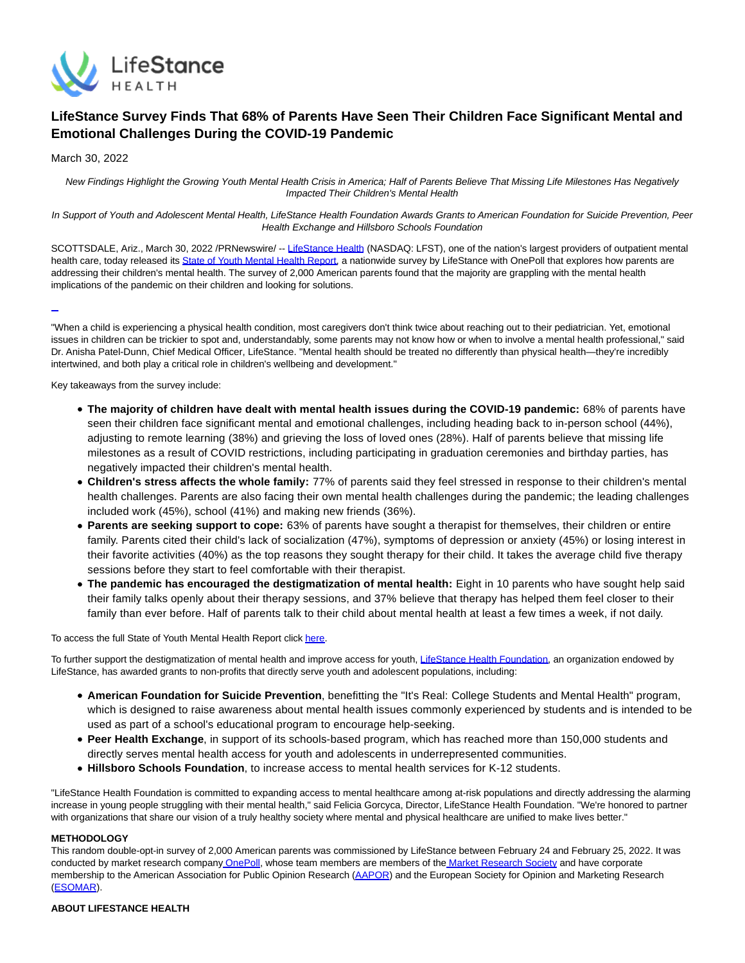

# **LifeStance Survey Finds That 68% of Parents Have Seen Their Children Face Significant Mental and Emotional Challenges During the COVID-19 Pandemic**

March 30, 2022

New Findings Highlight the Growing Youth Mental Health Crisis in America; Half of Parents Believe That Missing Life Milestones Has Negatively Impacted Their Children's Mental Health

In Support of Youth and Adolescent Mental Health, LifeStance Health Foundation Awards Grants to American Foundation for Suicide Prevention, Peer Health Exchange and Hillsboro Schools Foundation

SCOTTSDALE, Ariz., March 30, 2022 /PRNewswire/ -[- LifeStance Health \(](https://c212.net/c/link/?t=0&l=en&o=3488441-1&h=3317886288&u=https%3A%2F%2Flifestance.com%2F&a=LifeStance+Health)NASDAQ: LFST), one of the nation's largest providers of outpatient mental health care, today released its [State of Youth Mental Health Report,](https://c212.net/c/link/?t=0&l=en&o=3488441-1&h=2260904413&u=https%3A%2F%2Flifestance.com%2Fmental-health-statistics-2022&a=State+of+Youth+Mental+Health+Report) a nationwide survey by LifeStance with OnePoll that explores how parents are addressing their children's mental health. The survey of 2,000 American parents found that the majority are grappling with the mental health implications of the pandemic on their children and looking for solutions.

 $\overline{a}$ 

"When a child is experiencing a physical health condition, most caregivers don't think twice about reaching out to their pediatrician. Yet, emotional issues in children can be trickier to spot and, understandably, some parents may not know how or when to involve a mental health professional," said Dr. Anisha Patel-Dunn, Chief Medical Officer, LifeStance. "Mental health should be treated no differently than physical health—they're incredibly intertwined, and both play a critical role in children's wellbeing and development."

Key takeaways from the survey include:

- **The majority of children have dealt with mental health issues during the COVID-19 pandemic:** 68% of parents have seen their children face significant mental and emotional challenges, including heading back to in-person school (44%), adjusting to remote learning (38%) and grieving the loss of loved ones (28%). Half of parents believe that missing life milestones as a result of COVID restrictions, including participating in graduation ceremonies and birthday parties, has negatively impacted their children's mental health.
- **Children's stress affects the whole family:** 77% of parents said they feel stressed in response to their children's mental health challenges. Parents are also facing their own mental health challenges during the pandemic; the leading challenges included work (45%), school (41%) and making new friends (36%).
- **Parents are seeking support to cope:** 63% of parents have sought a therapist for themselves, their children or entire family. Parents cited their child's lack of socialization (47%), symptoms of depression or anxiety (45%) or losing interest in their favorite activities (40%) as the top reasons they sought therapy for their child. It takes the average child five therapy sessions before they start to feel comfortable with their therapist.
- **The pandemic has encouraged the destigmatization of mental health:** Eight in 10 parents who have sought help said their family talks openly about their therapy sessions, and 37% believe that therapy has helped them feel closer to their family than ever before. Half of parents talk to their child about mental health at least a few times a week, if not daily.

To access the full State of Youth Mental Health Report click [here.](https://c212.net/c/link/?t=0&l=en&o=3488441-1&h=1741054764&u=https%3A%2F%2Flifestance.com%2Fmental-health-statistics-2022&a=here)

To further support the destigmatization of mental health and improve access for youth, [LifeStance Health Foundation,](https://c212.net/c/link/?t=0&l=en&o=3488441-1&h=2827314984&u=https%3A%2F%2Flifestance.com%2Fthe-foundation%2F&a=LifeStance+Health+Foundation) an organization endowed by LifeStance, has awarded grants to non-profits that directly serve youth and adolescent populations, including:

- **American Foundation for Suicide Prevention**, benefitting the "It's Real: College Students and Mental Health" program, which is designed to raise awareness about mental health issues commonly experienced by students and is intended to be used as part of a school's educational program to encourage help-seeking.
- **Peer Health Exchange**, in support of its schools-based program, which has reached more than 150,000 students and directly serves mental health access for youth and adolescents in underrepresented communities.
- **Hillsboro Schools Foundation**, to increase access to mental health services for K-12 students.

"LifeStance Health Foundation is committed to expanding access to mental healthcare among at-risk populations and directly addressing the alarming increase in young people struggling with their mental health," said Felicia Gorcyca, Director, LifeStance Health Foundation. "We're honored to partner with organizations that share our vision of a truly healthy society where mental and physical healthcare are unified to make lives better."

### **METHODOLOGY**

This random double-opt-in survey of 2,000 American parents was commissioned by LifeStance between February 24 and February 25, 2022. It was conducted by market research company [OnePoll,](https://c212.net/c/link/?t=0&l=en&o=3488441-1&h=4030551611&u=https%3A%2F%2Fwww.onepoll.us%2F&a=OnePoll) whose team members are members of the [Market Research Society a](https://c212.net/c/link/?t=0&l=en&o=3488441-1&h=327616617&u=https%3A%2F%2Fwww.mrs.org.uk%2F&a=Market+Research+Society)nd have corporate membership to the American Association for Public Opinion Research [\(AAPOR\)](https://c212.net/c/link/?t=0&l=en&o=3488441-1&h=3021553028&u=https%3A%2F%2Fwww.aapor.org%2F&a=AAPOR) and the European Society for Opinion and Marketing Research [\(ESOMAR\)](https://c212.net/c/link/?t=0&l=en&o=3488441-1&h=583182008&u=https%3A%2F%2Fwww.esomar.org%2F&a=ESOMAR).

### **ABOUT LIFESTANCE HEALTH**